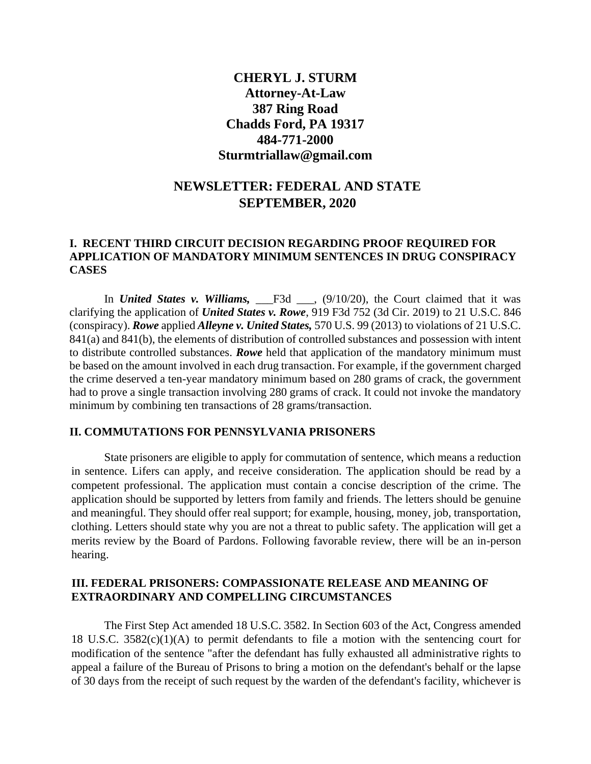## **CHERYL J. STURM Attorney-At-Law 387 Ring Road Chadds Ford, PA 19317 484-771-2000 Sturmtriallaw@gmail.com**

# **NEWSLETTER: FEDERAL AND STATE SEPTEMBER, 2020**

## **I. RECENT THIRD CIRCUIT DECISION REGARDING PROOF REQUIRED FOR APPLICATION OF MANDATORY MINIMUM SENTENCES IN DRUG CONSPIRACY CASES**

In *United States v. Williams*, <u>F3d</u> \_\_, (9/10/20), the Court claimed that it was clarifying the application of *United States v. Rowe*, 919 F3d 752 (3d Cir. 2019) to 21 U.S.C. 846 (conspiracy). *Rowe* applied *Alleyne v. United States,* 570 U.S. 99 (2013) to violations of 21 U.S.C. 841(a) and 841(b), the elements of distribution of controlled substances and possession with intent to distribute controlled substances. *Rowe* held that application of the mandatory minimum must be based on the amount involved in each drug transaction. For example, if the government charged the crime deserved a ten-year mandatory minimum based on 280 grams of crack, the government had to prove a single transaction involving 280 grams of crack. It could not invoke the mandatory minimum by combining ten transactions of 28 grams/transaction.

#### **II. COMMUTATIONS FOR PENNSYLVANIA PRISONERS**

State prisoners are eligible to apply for commutation of sentence, which means a reduction in sentence. Lifers can apply, and receive consideration. The application should be read by a competent professional. The application must contain a concise description of the crime. The application should be supported by letters from family and friends. The letters should be genuine and meaningful. They should offer real support; for example, housing, money, job, transportation, clothing. Letters should state why you are not a threat to public safety. The application will get a merits review by the Board of Pardons. Following favorable review, there will be an in-person hearing.

### **III. FEDERAL PRISONERS: COMPASSIONATE RELEASE AND MEANING OF EXTRAORDINARY AND COMPELLING CIRCUMSTANCES**

The First Step Act amended 18 U.S.C. 3582. In Section 603 of the Act, Congress amended 18 U.S.C. 3582(c)(1)(A) to permit defendants to file a motion with the sentencing court for modification of the sentence "after the defendant has fully exhausted all administrative rights to appeal a failure of the Bureau of Prisons to bring a motion on the defendant's behalf or the lapse of 30 days from the receipt of such request by the warden of the defendant's facility, whichever is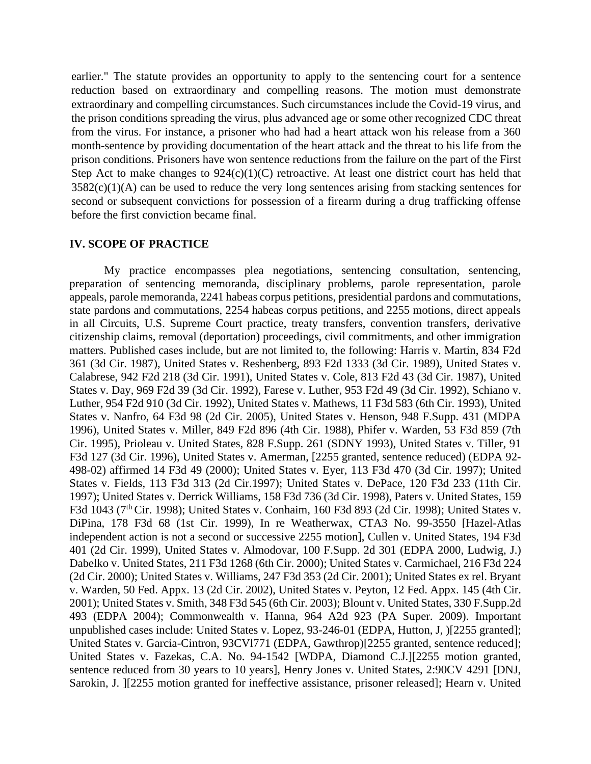earlier." The statute provides an opportunity to apply to the sentencing court for a sentence reduction based on extraordinary and compelling reasons. The motion must demonstrate extraordinary and compelling circumstances. Such circumstances include the Covid-19 virus, and the prison conditions spreading the virus, plus advanced age or some other recognized CDC threat from the virus. For instance, a prisoner who had had a heart attack won his release from a 360 month-sentence by providing documentation of the heart attack and the threat to his life from the prison conditions. Prisoners have won sentence reductions from the failure on the part of the First Step Act to make changes to  $924(c)(1)(C)$  retroactive. At least one district court has held that  $3582(c)(1)(A)$  can be used to reduce the very long sentences arising from stacking sentences for second or subsequent convictions for possession of a firearm during a drug trafficking offense before the first conviction became final.

#### **IV. SCOPE OF PRACTICE**

My practice encompasses plea negotiations, sentencing consultation, sentencing, preparation of sentencing memoranda, disciplinary problems, parole representation, parole appeals, parole memoranda, 2241 habeas corpus petitions, presidential pardons and commutations, state pardons and commutations, 2254 habeas corpus petitions, and 2255 motions, direct appeals in all Circuits, U.S. Supreme Court practice, treaty transfers, convention transfers, derivative citizenship claims, removal (deportation) proceedings, civil commitments, and other immigration matters. Published cases include, but are not limited to, the following: Harris v. Martin, 834 F2d 361 (3d Cir. 1987), United States v. Reshenberg, 893 F2d 1333 (3d Cir. 1989), United States v. Calabrese, 942 F2d 218 (3d Cir. 1991), United States v. Cole, 813 F2d 43 (3d Cir. 1987), United States v. Day, 969 F2d 39 (3d Cir. 1992), Farese v. Luther, 953 F2d 49 (3d Cir. 1992), Schiano v. Luther, 954 F2d 910 (3d Cir. 1992), United States v. Mathews, 11 F3d 583 (6th Cir. 1993), United States v. Nanfro, 64 F3d 98 (2d Cir. 2005), United States v. Henson, 948 F.Supp. 431 (MDPA 1996), United States v. Miller, 849 F2d 896 (4th Cir. 1988), Phifer v. Warden, 53 F3d 859 (7th Cir. 1995), Prioleau v. United States, 828 F.Supp. 261 (SDNY 1993), United States v. Tiller, 91 F3d 127 (3d Cir. 1996), United States v. Amerman, [2255 granted, sentence reduced) (EDPA 92- 498-02) affirmed 14 F3d 49 (2000); United States v. Eyer, 113 F3d 470 (3d Cir. 1997); United States v. Fields, 113 F3d 313 (2d Cir.1997); United States v. DePace, 120 F3d 233 (11th Cir. 1997); United States v. Derrick Williams, 158 F3d 736 (3d Cir. 1998), Paters v. United States, 159 F3d 1043 (7<sup>th</sup> Cir. 1998); United States v. Conhaim, 160 F3d 893 (2d Cir. 1998); United States v. DiPina, 178 F3d 68 (1st Cir. 1999), In re Weatherwax, CTA3 No. 99-3550 [Hazel-Atlas independent action is not a second or successive 2255 motion], Cullen v. United States, 194 F3d 401 (2d Cir. 1999), United States v. Almodovar, 100 F.Supp. 2d 301 (EDPA 2000, Ludwig, J.) Dabelko v. United States, 211 F3d 1268 (6th Cir. 2000); United States v. Carmichael, 216 F3d 224 (2d Cir. 2000); United States v. Williams, 247 F3d 353 (2d Cir. 2001); United States ex rel. Bryant v. Warden, 50 Fed. Appx. 13 (2d Cir. 2002), United States v. Peyton, 12 Fed. Appx. 145 (4th Cir. 2001); United States v. Smith, 348 F3d 545 (6th Cir. 2003); Blount v. United States, 330 F.Supp.2d 493 (EDPA 2004); Commonwealth v. Hanna, 964 A2d 923 (PA Super. 2009). Important unpublished cases include: United States v. Lopez, 93-246-01 (EDPA, Hutton, J, )[2255 granted]; United States v. Garcia-Cintron, 93CVl771 (EDPA, Gawthrop)[2255 granted, sentence reduced]; United States v. Fazekas, C.A. No. 94-1542 [WDPA, Diamond C.J.][2255 motion granted, sentence reduced from 30 years to 10 years], Henry Jones v. United States, 2:90CV 4291 [DNJ, Sarokin, J. [2255 motion granted for ineffective assistance, prisoner released]; Hearn v. United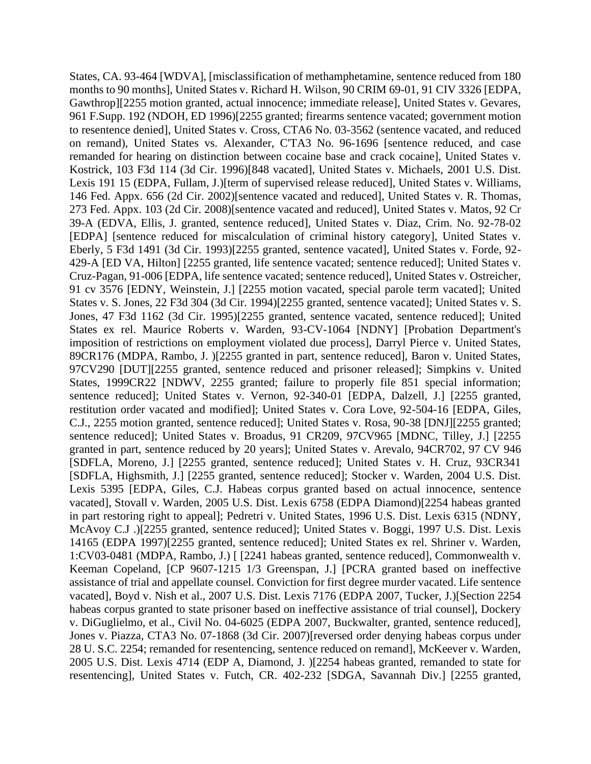States, CA. 93-464 [WDVA], [misclassification of methamphetamine, sentence reduced from 180 months to 90 months], United States v. Richard H. Wilson, 90 CRIM 69-01, 91 CIV 3326 [EDPA, Gawthrop][2255 motion granted, actual innocence; immediate release], United States v. Gevares, 961 F.Supp. 192 (NDOH, ED 1996)[2255 granted; firearms sentence vacated; government motion to resentence denied], United States v. Cross, CTA6 No. 03-3562 (sentence vacated, and reduced on remand), United States vs. Alexander, C'TA3 No. 96-1696 [sentence reduced, and case remanded for hearing on distinction between cocaine base and crack cocaine], United States v. Kostrick, 103 F3d 114 (3d Cir. 1996)[848 vacated], United States v. Michaels, 2001 U.S. Dist. Lexis 191 15 (EDPA, Fullam, J.)[term of supervised release reduced], United States v. Williams, 146 Fed. Appx. 656 (2d Cir. 2002)[sentence vacated and reduced], United States v. R. Thomas, 273 Fed. Appx. 103 (2d Cir. 2008)[sentence vacated and reduced], United States v. Matos, 92 Cr 39-A (EDVA, Ellis, J. granted, sentence reduced], United States v. Diaz, Crim. No. 92-78-02 [EDPA] [sentence reduced for miscalculation of criminal history category], United States v. Eberly, 5 F3d 1491 (3d Cir. 1993)[2255 granted, sentence vacated], United States v. Forde, 92- 429-A [ED VA, Hilton] [2255 granted, life sentence vacated; sentence reduced]; United States v. Cruz-Pagan, 91-006 [EDPA, life sentence vacated; sentence reduced], United States v. Ostreicher, 91 cv 3576 [EDNY, Weinstein, J.] [2255 motion vacated, special parole term vacated]; United States v. S. Jones, 22 F3d 304 (3d Cir. 1994)[2255 granted, sentence vacated]; United States v. S. Jones, 47 F3d 1162 (3d Cir. 1995)[2255 granted, sentence vacated, sentence reduced]; United States ex rel. Maurice Roberts v. Warden, 93-CV-1064 [NDNY] [Probation Department's imposition of restrictions on employment violated due process], Darryl Pierce v. United States, 89CR176 (MDPA, Rambo, J. )[2255 granted in part, sentence reduced], Baron v. United States, 97CV290 [DUT][2255 granted, sentence reduced and prisoner released]; Simpkins v. United States, 1999CR22 [NDWV, 2255 granted; failure to properly file 851 special information; sentence reduced]; United States v. Vernon, 92-340-01 [EDPA, Dalzell, J.] [2255 granted, restitution order vacated and modified]; United States v. Cora Love, 92-504-16 [EDPA, Giles, C.J., 2255 motion granted, sentence reduced]; United States v. Rosa, 90-38 [DNJ][2255 granted; sentence reduced]; United States v. Broadus, 91 CR209, 97CV965 [MDNC, Tilley, J.] [2255] granted in part, sentence reduced by 20 years]; United States v. Arevalo, 94CR702, 97 CV 946 [SDFLA, Moreno, J.] [2255 granted, sentence reduced]; United States v. H. Cruz, 93CR341 [SDFLA, Highsmith, J.] [2255 granted, sentence reduced]; Stocker v. Warden, 2004 U.S. Dist. Lexis 5395 [EDPA, Giles, C.J. Habeas corpus granted based on actual innocence, sentence vacated], Stovall v. Warden, 2005 U.S. Dist. Lexis 6758 (EDPA Diamond)[2254 habeas granted in part restoring right to appeal]; Pedretri v. United States, 1996 U.S. Dist. Lexis 6315 (NDNY, McAvoy C.J .)[2255 granted, sentence reduced]; United States v. Boggi, 1997 U.S. Dist. Lexis 14165 (EDPA 1997)[2255 granted, sentence reduced]; United States ex rel. Shriner v. Warden, 1:CV03-0481 (MDPA, Rambo, J.) [ [2241 habeas granted, sentence reduced], Commonwealth v. Keeman Copeland, [CP 9607-1215 1/3 Greenspan, J.] [PCRA granted based on ineffective assistance of trial and appellate counsel. Conviction for first degree murder vacated. Life sentence vacated], Boyd v. Nish et al., 2007 U.S. Dist. Lexis 7176 (EDPA 2007, Tucker, J.)[Section 2254 habeas corpus granted to state prisoner based on ineffective assistance of trial counsel], Dockery v. DiGuglielmo, et al., Civil No. 04-6025 (EDPA 2007, Buckwalter, granted, sentence reduced], Jones v. Piazza, CTA3 No. 07-1868 (3d Cir. 2007)[reversed order denying habeas corpus under 28 U. S.C. 2254; remanded for resentencing, sentence reduced on remand], McKeever v. Warden, 2005 U.S. Dist. Lexis 4714 (EDP A, Diamond, J. )[2254 habeas granted, remanded to state for resentencing], United States v. Futch, CR. 402-232 [SDGA, Savannah Div.] [2255 granted,